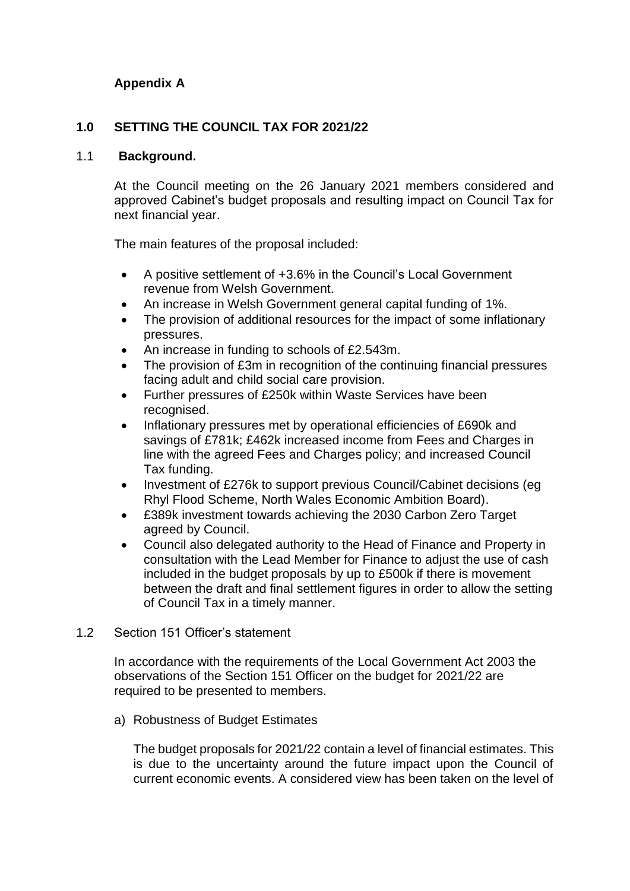# **Appendix A**

## **1.0 SETTING THE COUNCIL TAX FOR 2021/22**

### 1.1 **Background.**

At the Council meeting on the 26 January 2021 members considered and approved Cabinet's budget proposals and resulting impact on Council Tax for next financial year.

The main features of the proposal included:

- A positive settlement of +3.6% in the Council's Local Government revenue from Welsh Government.
- An increase in Welsh Government general capital funding of 1%.
- The provision of additional resources for the impact of some inflationary pressures.
- An increase in funding to schools of £2.543m.
- The provision of £3m in recognition of the continuing financial pressures facing adult and child social care provision.
- Further pressures of £250k within Waste Services have been recognised.
- Inflationary pressures met by operational efficiencies of £690k and savings of £781k; £462k increased income from Fees and Charges in line with the agreed Fees and Charges policy; and increased Council Tax funding.
- Investment of £276k to support previous Council/Cabinet decisions (eg Rhyl Flood Scheme, North Wales Economic Ambition Board).
- £389k investment towards achieving the 2030 Carbon Zero Target agreed by Council.
- Council also delegated authority to the Head of Finance and Property in consultation with the Lead Member for Finance to adjust the use of cash included in the budget proposals by up to £500k if there is movement between the draft and final settlement figures in order to allow the setting of Council Tax in a timely manner.

### 1.2 Section 151 Officer's statement

In accordance with the requirements of the Local Government Act 2003 the observations of the Section 151 Officer on the budget for 2021/22 are required to be presented to members.

a) Robustness of Budget Estimates

The budget proposals for 2021/22 contain a level of financial estimates. This is due to the uncertainty around the future impact upon the Council of current economic events. A considered view has been taken on the level of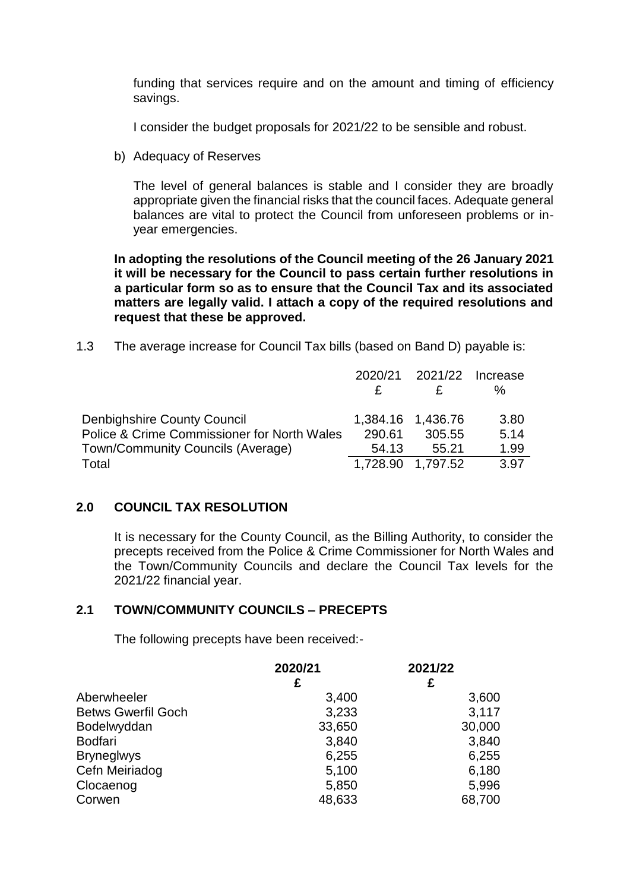funding that services require and on the amount and timing of efficiency savings.

I consider the budget proposals for 2021/22 to be sensible and robust.

b) Adequacy of Reserves

The level of general balances is stable and I consider they are broadly appropriate given the financial risks that the council faces. Adequate general balances are vital to protect the Council from unforeseen problems or inyear emergencies.

**In adopting the resolutions of the Council meeting of the 26 January 2021 it will be necessary for the Council to pass certain further resolutions in a particular form so as to ensure that the Council Tax and its associated matters are legally valid. I attach a copy of the required resolutions and request that these be approved.**

1.3 The average increase for Council Tax bills (based on Band D) payable is:

|                                                        | 2020/21  | 2021/22           | Increase |
|--------------------------------------------------------|----------|-------------------|----------|
|                                                        |          |                   | ℅        |
| Denbighshire County Council                            |          | 1,384.16 1,436.76 | 3.80     |
| <b>Police &amp; Crime Commissioner for North Wales</b> | 290.61   | 305.55            | 5.14     |
| Town/Community Councils (Average)                      | 54.13    | 55.21             | 1.99     |
| Total                                                  | 1,728.90 | 1,797.52          | 3.97     |

### **2.0 COUNCIL TAX RESOLUTION**

It is necessary for the County Council, as the Billing Authority, to consider the precepts received from the Police & Crime Commissioner for North Wales and the Town/Community Councils and declare the Council Tax levels for the 2021/22 financial year.

### **2.1 TOWN/COMMUNITY COUNCILS – PRECEPTS**

The following precepts have been received:-

|                           | 2020/21 | 2021/22 |
|---------------------------|---------|---------|
|                           | £       | £       |
| Aberwheeler               | 3,400   | 3,600   |
| <b>Betws Gwerfil Goch</b> | 3,233   | 3,117   |
| Bodelwyddan               | 33,650  | 30,000  |
| <b>Bodfari</b>            | 3,840   | 3,840   |
| <b>Bryneglwys</b>         | 6,255   | 6,255   |
| Cefn Meiriadog            | 5,100   | 6,180   |
| Clocaenog                 | 5,850   | 5,996   |
| Corwen                    | 48,633  | 68,700  |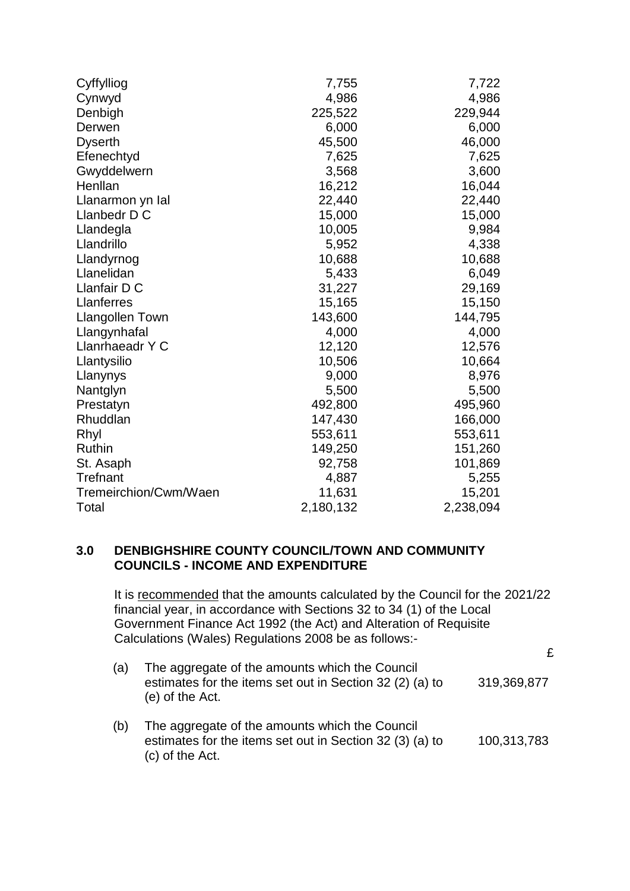| Cyffylliog             | 7,755     | 7,722     |
|------------------------|-----------|-----------|
| Cynwyd                 | 4,986     | 4,986     |
| Denbigh                | 225,522   | 229,944   |
| Derwen                 | 6,000     | 6,000     |
| <b>Dyserth</b>         | 45,500    | 46,000    |
| Efenechtyd             | 7,625     | 7,625     |
| Gwyddelwern            | 3,568     | 3,600     |
| Henllan                | 16,212    | 16,044    |
| Llanarmon yn Ial       | 22,440    | 22,440    |
| Llanbedr D C           | 15,000    | 15,000    |
| Llandegla              | 10,005    | 9,984     |
| Llandrillo             | 5,952     | 4,338     |
| Llandyrnog             | 10,688    | 10,688    |
| Llanelidan             | 5,433     | 6,049     |
| Llanfair D C           | 31,227    | 29,169    |
| Llanferres             | 15,165    | 15,150    |
| <b>Llangollen Town</b> | 143,600   | 144,795   |
| Llangynhafal           | 4,000     | 4,000     |
| Llanrhaeadr Y C        | 12,120    | 12,576    |
| Llantysilio            | 10,506    | 10,664    |
| Llanynys               | 9,000     | 8,976     |
| Nantglyn               | 5,500     | 5,500     |
| Prestatyn              | 492,800   | 495,960   |
| Rhuddlan               | 147,430   | 166,000   |
| Rhyl                   | 553,611   | 553,611   |
| Ruthin                 | 149,250   | 151,260   |
| St. Asaph              | 92,758    | 101,869   |
| <b>Trefnant</b>        | 4,887     | 5,255     |
| Tremeirchion/Cwm/Waen  | 11,631    | 15,201    |
| Total                  | 2,180,132 | 2,238,094 |

### **3.0 DENBIGHSHIRE COUNTY COUNCIL/TOWN AND COMMUNITY COUNCILS - INCOME AND EXPENDITURE**

It is recommended that the amounts calculated by the Council for the 2021/22 financial year, in accordance with Sections 32 to 34 (1) of the Local Government Finance Act 1992 (the Act) and Alteration of Requisite Calculations (Wales) Regulations 2008 be as follows:-

|  | The aggregate of the amounts which the Council<br>estimates for the items set out in Section 32 (2) (a) to<br>(e) of the Act. | 319,369,877 |
|--|-------------------------------------------------------------------------------------------------------------------------------|-------------|

(b) The aggregate of the amounts which the Council estimates for the items set out in Section 32 (3) (a) to (c) of the Act. 100,313,783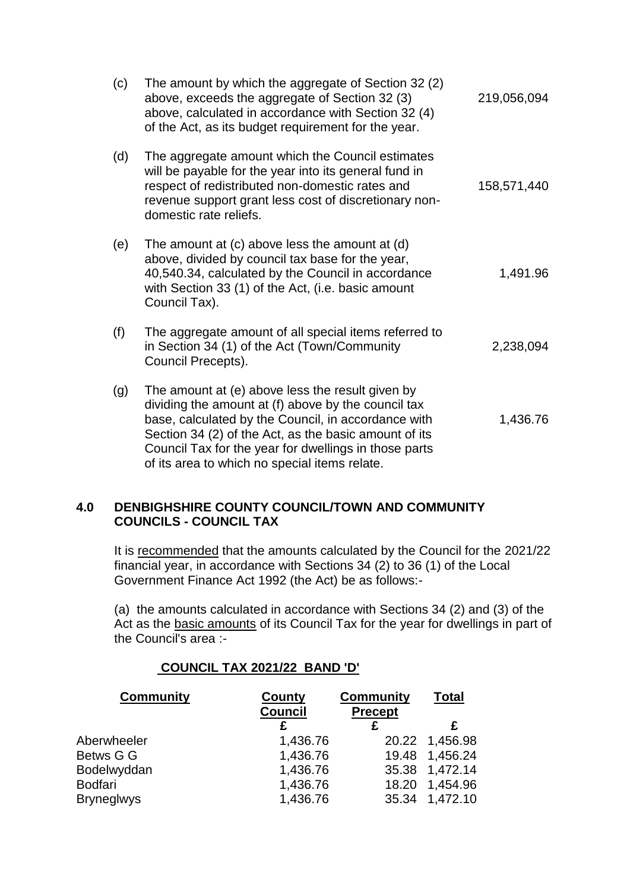| (c) | The amount by which the aggregate of Section 32 (2)<br>above, exceeds the aggregate of Section 32 (3)<br>above, calculated in accordance with Section 32 (4)<br>of the Act, as its budget requirement for the year.                                                                                                               | 219,056,094 |
|-----|-----------------------------------------------------------------------------------------------------------------------------------------------------------------------------------------------------------------------------------------------------------------------------------------------------------------------------------|-------------|
| (d) | The aggregate amount which the Council estimates<br>will be payable for the year into its general fund in<br>respect of redistributed non-domestic rates and<br>revenue support grant less cost of discretionary non-<br>domestic rate reliefs.                                                                                   | 158,571,440 |
| (e) | The amount at (c) above less the amount at (d)<br>above, divided by council tax base for the year,<br>40,540.34, calculated by the Council in accordance<br>with Section 33 (1) of the Act, (i.e. basic amount<br>Council Tax).                                                                                                   | 1,491.96    |
| (f) | The aggregate amount of all special items referred to<br>in Section 34 (1) of the Act (Town/Community<br>Council Precepts).                                                                                                                                                                                                       | 2,238,094   |
| (g) | The amount at (e) above less the result given by<br>dividing the amount at (f) above by the council tax<br>base, calculated by the Council, in accordance with<br>Section 34 (2) of the Act, as the basic amount of its<br>Council Tax for the year for dwellings in those parts<br>of its area to which no special items relate. | 1,436.76    |

## **4.0 DENBIGHSHIRE COUNTY COUNCIL/TOWN AND COMMUNITY COUNCILS - COUNCIL TAX**

It is recommended that the amounts calculated by the Council for the 2021/22 financial year, in accordance with Sections 34 (2) to 36 (1) of the Local Government Finance Act 1992 (the Act) be as follows:-

(a) the amounts calculated in accordance with Sections 34 (2) and (3) of the Act as the basic amounts of its Council Tax for the year for dwellings in part of the Council's area :-

# **COUNCIL TAX 2021/22 BAND 'D'**

| <b>Community</b>  | <b>Community</b><br>County<br><b>Council</b><br><b>Precept</b> |       | Total          |
|-------------------|----------------------------------------------------------------|-------|----------------|
|                   |                                                                | £     |                |
| Aberwheeler       | 1,436.76                                                       |       | 20.22 1,456.98 |
| Betws G G         | 1,436.76                                                       | 19.48 | 1,456.24       |
| Bodelwyddan       | 1,436.76                                                       |       | 35.38 1,472.14 |
| Bodfari           | 1,436.76                                                       | 18.20 | 1,454.96       |
| <b>Bryneglwys</b> | 1,436.76                                                       |       | 35.34 1,472.10 |
|                   |                                                                |       |                |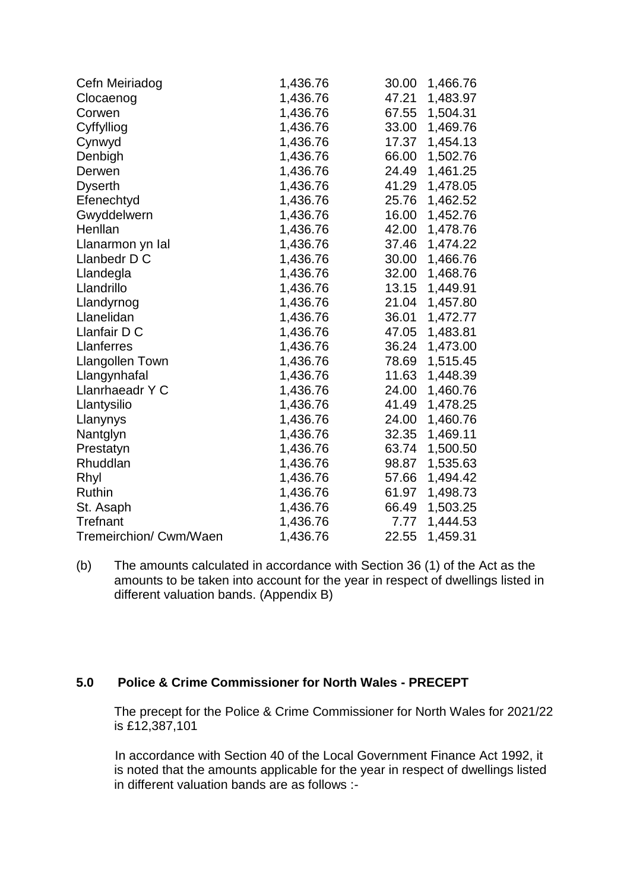| Cefn Meiriadog         | 1,436.76 | 30.00 | 1,466.76 |
|------------------------|----------|-------|----------|
| Clocaenog              | 1,436.76 | 47.21 | 1,483.97 |
| Corwen                 | 1,436.76 | 67.55 | 1,504.31 |
| Cyffylliog             | 1,436.76 | 33.00 | 1,469.76 |
| Cynwyd                 | 1,436.76 | 17.37 | 1,454.13 |
| Denbigh                | 1,436.76 | 66.00 | 1,502.76 |
| Derwen                 | 1,436.76 | 24.49 | 1,461.25 |
| <b>Dyserth</b>         | 1,436.76 | 41.29 | 1,478.05 |
| Efenechtyd             | 1,436.76 | 25.76 | 1,462.52 |
| Gwyddelwern            | 1,436.76 | 16.00 | 1,452.76 |
| Henllan                | 1,436.76 | 42.00 | 1,478.76 |
| Llanarmon yn Ial       | 1,436.76 | 37.46 | 1,474.22 |
| Llanbedr D C           | 1,436.76 | 30.00 | 1,466.76 |
| Llandegla              | 1,436.76 | 32.00 | 1,468.76 |
| Llandrillo             | 1,436.76 | 13.15 | 1,449.91 |
| Llandyrnog             | 1,436.76 | 21.04 | 1,457.80 |
| Llanelidan             | 1,436.76 | 36.01 | 1,472.77 |
| Llanfair D C           | 1,436.76 | 47.05 | 1,483.81 |
| Llanferres             | 1,436.76 | 36.24 | 1,473.00 |
| <b>Llangollen Town</b> | 1,436.76 | 78.69 | 1,515.45 |
| Llangynhafal           | 1,436.76 | 11.63 | 1,448.39 |
| Llanrhaeadr Y C        | 1,436.76 | 24.00 | 1,460.76 |
| Llantysilio            | 1,436.76 | 41.49 | 1,478.25 |
| Llanynys               | 1,436.76 | 24.00 | 1,460.76 |
| Nantglyn               | 1,436.76 | 32.35 | 1,469.11 |
| Prestatyn              | 1,436.76 | 63.74 | 1,500.50 |
| Rhuddlan               | 1,436.76 | 98.87 | 1,535.63 |
| Rhyl                   | 1,436.76 | 57.66 | 1,494.42 |
| Ruthin                 | 1,436.76 | 61.97 | 1,498.73 |
| St. Asaph              | 1,436.76 | 66.49 | 1,503.25 |
| Trefnant               | 1,436.76 | 7.77  | 1,444.53 |
| Tremeirchion/ Cwm/Waen | 1,436.76 | 22.55 | 1,459.31 |

(b) The amounts calculated in accordance with Section 36 (1) of the Act as the amounts to be taken into account for the year in respect of dwellings listed in different valuation bands. (Appendix B)

### **5.0 Police & Crime Commissioner for North Wales - PRECEPT**

The precept for the Police & Crime Commissioner for North Wales for 2021/22 is £12,387,101

 In accordance with Section 40 of the Local Government Finance Act 1992, it is noted that the amounts applicable for the year in respect of dwellings listed in different valuation bands are as follows :-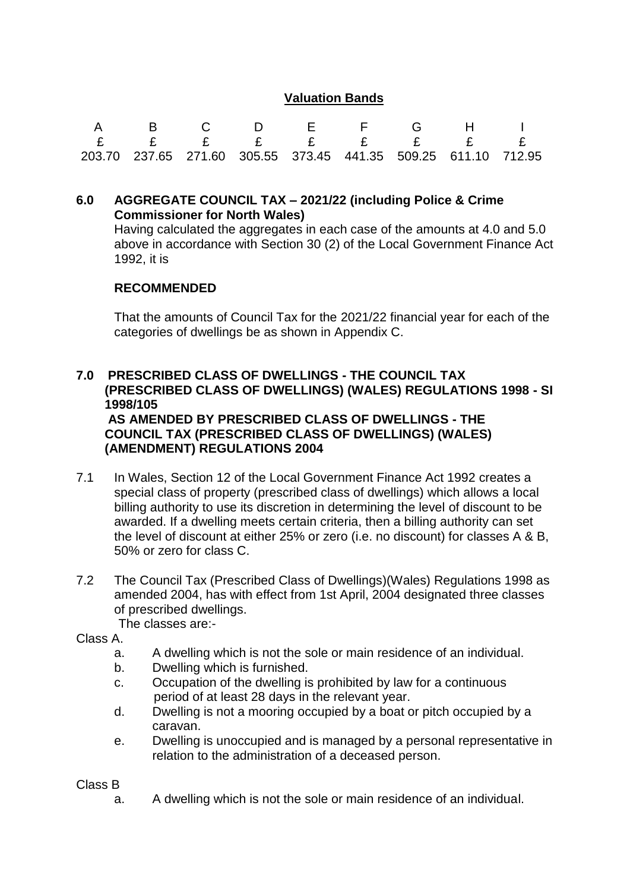## **Valuation Bands**

| A B C D E F G H I                                                      |  |  |  |  |
|------------------------------------------------------------------------|--|--|--|--|
|                                                                        |  |  |  |  |
| 203.70  237.65  271.60  305.55  373.45  441.35  509.25  611.10  712.95 |  |  |  |  |

### **6.0 AGGREGATE COUNCIL TAX – 2021/22 (including Police & Crime Commissioner for North Wales)**

Having calculated the aggregates in each case of the amounts at 4.0 and 5.0 above in accordance with Section 30 (2) of the Local Government Finance Act 1992, it is

### **RECOMMENDED**

That the amounts of Council Tax for the 2021/22 financial year for each of the categories of dwellings be as shown in Appendix C.

## **7.0 PRESCRIBED CLASS OF DWELLINGS - THE COUNCIL TAX (PRESCRIBED CLASS OF DWELLINGS) (WALES) REGULATIONS 1998 - SI 1998/105 AS AMENDED BY PRESCRIBED CLASS OF DWELLINGS - THE COUNCIL TAX (PRESCRIBED CLASS OF DWELLINGS) (WALES) (AMENDMENT) REGULATIONS 2004**

- 7.1 In Wales, Section 12 of the Local Government Finance Act 1992 creates a special class of property (prescribed class of dwellings) which allows a local billing authority to use its discretion in determining the level of discount to be awarded. If a dwelling meets certain criteria, then a billing authority can set the level of discount at either 25% or zero (i.e. no discount) for classes A & B, 50% or zero for class C.
- 7.2 The Council Tax (Prescribed Class of Dwellings)(Wales) Regulations 1998 as amended 2004, has with effect from 1st April, 2004 designated three classes of prescribed dwellings.
	- The classes are:-
- Class A.
	- a. A dwelling which is not the sole or main residence of an individual.
	- b. Dwelling which is furnished.
	- c. Occupation of the dwelling is prohibited by law for a continuous period of at least 28 days in the relevant year.
	- d. Dwelling is not a mooring occupied by a boat or pitch occupied by a caravan.
	- e. Dwelling is unoccupied and is managed by a personal representative in relation to the administration of a deceased person.

Class B

a. A dwelling which is not the sole or main residence of an individual.